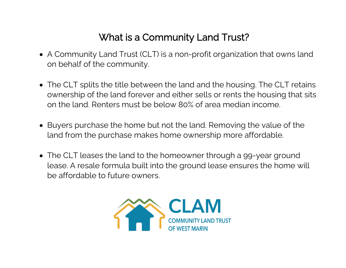## What is a Community Land Trust?

- A Community Land Trust (CLT) is a non-profit organization that owns land on behalf of the community.
- The CLT splits the title between the land and the housing. The CLT retains ownership of the land forever and either sells or rents the housing that sits on the land. Renters must be below 80% of area median income.
- Buyers purchase the home but not the land. Removing the value of the land from the purchase makes home ownership more affordable.
- The CLT leases the land to the homeowner through a 99-year ground lease. A resale formula built into the ground lease ensures the home will be affordable to future owners.

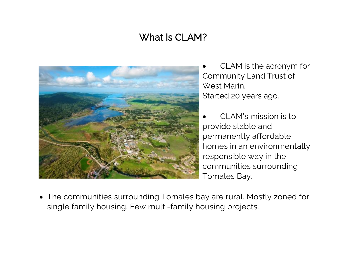## What is CLAM?



CLAM is the acronym for Community Land Trust of West Marin. Started 20 years ago.

• CLAM's mission is to provide stable and permanently affordable homes in an environmentally responsible way in the communities surrounding Tomales Bay.

• The communities surrounding Tomales bay are rural. Mostly zoned for single family housing. Few multi-family housing projects.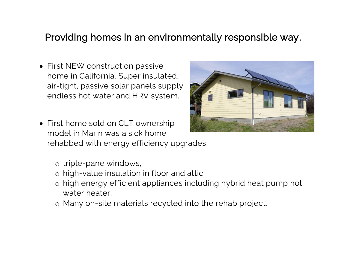#### Providing homes in an environmentally responsible way.

- First NEW construction passive home in California. Super insulated, air-tight, passive solar panels supply endless hot water and HRV system.
- First home sold on CLT ownership model in Marin was a sick home rehabbed with energy efficiency upgrades:
	- o triple-pane windows,
	- o high-value insulation in floor and attic,
	- o high energy efficient appliances including hybrid heat pump hot water heater.
	- o Many on-site materials recycled into the rehab project.

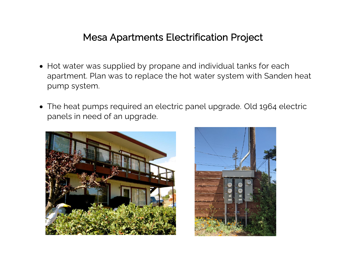#### Mesa Apartments Electrification Project

- Hot water was supplied by propane and individual tanks for each apartment. Plan was to replace the hot water system with Sanden heat pump system.
- The heat pumps required an electric panel upgrade. Old 1964 electric panels in need of an upgrade.



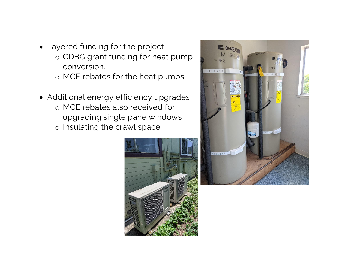- Layered funding for the project
	- o CDBG grant funding for heat pump conversion.
	- o MCE rebates for the heat pumps.
- Additional energy efficiency upgrades
	- o MCE rebates also received for upgrading single pane windows
	- o Insulating the crawl space.